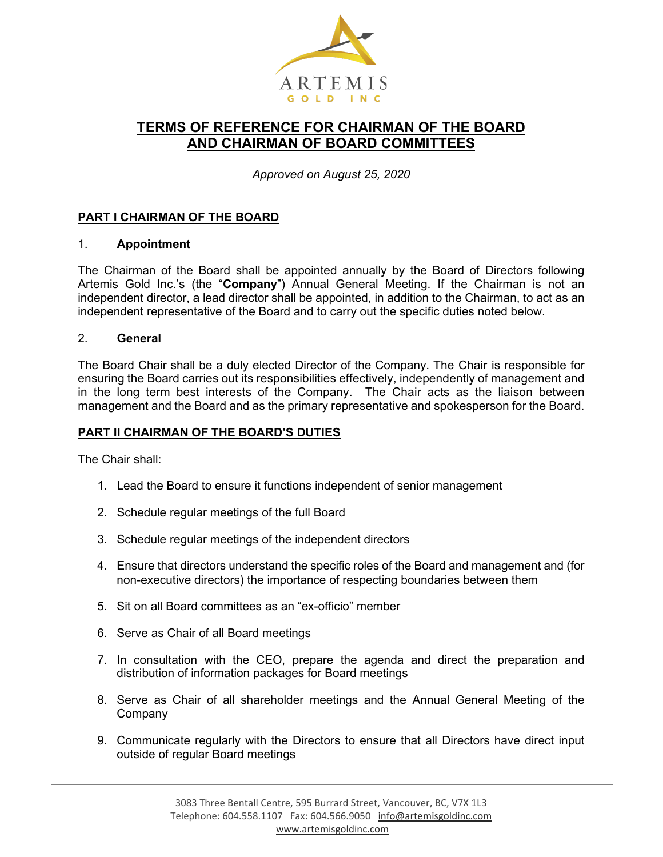

# **TERMS OF REFERENCE FOR CHAIRMAN OF THE BOARD AND CHAIRMAN OF BOARD COMMITTEES**

*Approved on August 25, 2020*

# **PART I CHAIRMAN OF THE BOARD**

#### 1. **Appointment**

The Chairman of the Board shall be appointed annually by the Board of Directors following Artemis Gold Inc.'s (the "**Company**") Annual General Meeting. If the Chairman is not an independent director, a lead director shall be appointed, in addition to the Chairman, to act as an independent representative of the Board and to carry out the specific duties noted below.

#### 2. **General**

The Board Chair shall be a duly elected Director of the Company. The Chair is responsible for ensuring the Board carries out its responsibilities effectively, independently of management and in the long term best interests of the Company. The Chair acts as the liaison between management and the Board and as the primary representative and spokesperson for the Board.

## **PART II CHAIRMAN OF THE BOARD'S DUTIES**

The Chair shall:

- 1. Lead the Board to ensure it functions independent of senior management
- 2. Schedule regular meetings of the full Board
- 3. Schedule regular meetings of the independent directors
- 4. Ensure that directors understand the specific roles of the Board and management and (for non-executive directors) the importance of respecting boundaries between them
- 5. Sit on all Board committees as an "ex-officio" member
- 6. Serve as Chair of all Board meetings
- 7. In consultation with the CEO, prepare the agenda and direct the preparation and distribution of information packages for Board meetings
- 8. Serve as Chair of all shareholder meetings and the Annual General Meeting of the Company
- 9. Communicate regularly with the Directors to ensure that all Directors have direct input outside of regular Board meetings